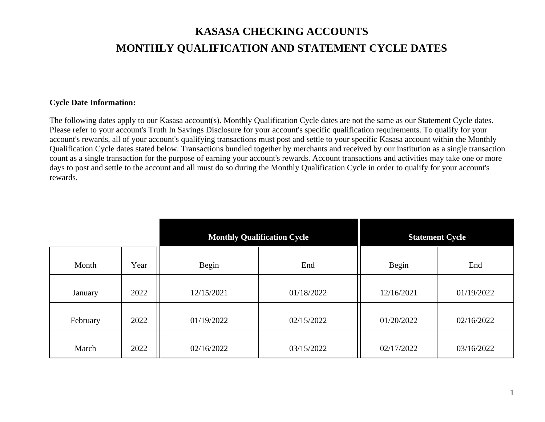## **KASASA CHECKING ACCOUNTS MONTHLY QUALIFICATION AND STATEMENT CYCLE DATES**

## **Cycle Date Information:**

The following dates apply to our Kasasa account(s). Monthly Qualification Cycle dates are not the same as our Statement Cycle dates. Please refer to your account's Truth In Savings Disclosure for your account's specific qualification requirements. To qualify for your account's rewards, all of your account's qualifying transactions must post and settle to your specific Kasasa account within the Monthly Qualification Cycle dates stated below. Transactions bundled together by merchants and received by our institution as a single transaction count as a single transaction for the purpose of earning your account's rewards. Account transactions and activities may take one or more days to post and settle to the account and all must do so during the Monthly Qualification Cycle in order to qualify for your account's rewards.

|          |      | <b>Monthly Qualification Cycle</b> |            | <b>Statement Cycle</b> |            |
|----------|------|------------------------------------|------------|------------------------|------------|
| Month    | Year | Begin                              | End        | Begin                  | End        |
| January  | 2022 | 12/15/2021                         | 01/18/2022 | 12/16/2021             | 01/19/2022 |
| February | 2022 | 01/19/2022                         | 02/15/2022 | 01/20/2022             | 02/16/2022 |
| March    | 2022 | 02/16/2022                         | 03/15/2022 | 02/17/2022             | 03/16/2022 |